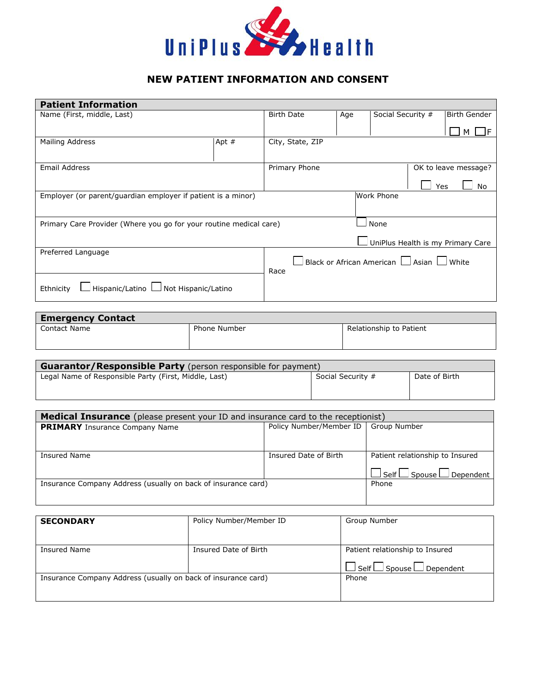

## **NEW PATIENT INFORMATION AND CONSENT**

| <b>Patient Information</b>                                         |         |                                                            |     |                   |                                   |
|--------------------------------------------------------------------|---------|------------------------------------------------------------|-----|-------------------|-----------------------------------|
| Name (First, middle, Last)                                         |         | <b>Birth Date</b>                                          | Age | Social Security # | <b>Birth Gender</b>               |
|                                                                    |         |                                                            |     |                   |                                   |
|                                                                    |         |                                                            |     |                   |                                   |
| Mailing Address                                                    | Apt $#$ | City, State, ZIP                                           |     |                   |                                   |
|                                                                    |         |                                                            |     |                   |                                   |
| <b>Email Address</b>                                               |         | Primary Phone                                              |     |                   | OK to leave message?              |
|                                                                    |         |                                                            |     |                   | Yes<br>No                         |
| Employer (or parent/guardian employer if patient is a minor)       |         |                                                            |     | Work Phone        |                                   |
|                                                                    |         |                                                            |     |                   |                                   |
| Primary Care Provider (Where you go for your routine medical care) |         |                                                            |     | None              |                                   |
|                                                                    |         |                                                            |     |                   | UniPlus Health is my Primary Care |
| Preferred Language                                                 |         |                                                            |     |                   |                                   |
|                                                                    |         | $\Box$ Black or African American $\Box$ Asian $\Box$ White |     |                   |                                   |
|                                                                    |         | Race                                                       |     |                   |                                   |
| Hispanic/Latino LI Not Hispanic/Latino<br>Ethnicity                |         |                                                            |     |                   |                                   |
|                                                                    |         |                                                            |     |                   |                                   |

| <b>Emergency Contact</b> |                     |                         |
|--------------------------|---------------------|-------------------------|
| <b>Contact Name</b>      | <b>Phone Number</b> | Relationship to Patient |
|                          |                     |                         |

| <b>Guarantor/Responsible Party</b> (person responsible for payment) |                   |               |  |
|---------------------------------------------------------------------|-------------------|---------------|--|
| Legal Name of Responsible Party (First, Middle, Last)               | Social Security # | Date of Birth |  |
|                                                                     |                   |               |  |

| <b>Medical Insurance</b> (please present your ID and insurance card to the receptionist) |                         |                                            |
|------------------------------------------------------------------------------------------|-------------------------|--------------------------------------------|
| <b>PRIMARY</b> Insurance Company Name                                                    | Policy Number/Member ID | Group Number                               |
|                                                                                          |                         |                                            |
|                                                                                          |                         |                                            |
| Insured Name                                                                             | Insured Date of Birth   | Patient relationship to Insured            |
|                                                                                          |                         |                                            |
|                                                                                          |                         | $\Box$ Self $\Box$ Spouse $\Box$ Dependent |
| Insurance Company Address (usually on back of insurance card)                            |                         | Phone                                      |
|                                                                                          |                         |                                            |
|                                                                                          |                         |                                            |

| <b>SECONDARY</b>                                              | Policy Number/Member ID | Group Number                               |
|---------------------------------------------------------------|-------------------------|--------------------------------------------|
|                                                               |                         |                                            |
| Insured Name                                                  | Insured Date of Birth   | Patient relationship to Insured            |
|                                                               |                         | $\Box$ Self $\Box$ Spouse $\Box$ Dependent |
| Insurance Company Address (usually on back of insurance card) |                         | Phone                                      |
|                                                               |                         |                                            |